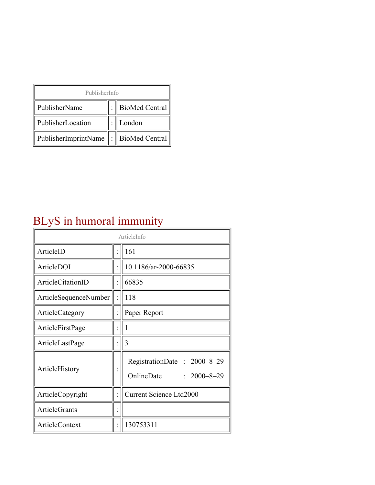| PublisherInfo                               |  |                |  |  |
|---------------------------------------------|--|----------------|--|--|
| PublisherName                               |  | BioMed Central |  |  |
| PublisherLocation                           |  | London         |  |  |
| PublisherImprintName    :    BioMed Central |  |                |  |  |

# BLyS in humoral immunity

| ArticleInfo                  |  |                                                                |  |
|------------------------------|--|----------------------------------------------------------------|--|
| ArticleID                    |  | 161                                                            |  |
| ArticleDOI                   |  | 10.1186/ar-2000-66835                                          |  |
| ArticleCitationID            |  | 66835                                                          |  |
| <b>ArticleSequenceNumber</b> |  | 118                                                            |  |
| ArticleCategory              |  | Paper Report                                                   |  |
| ArticleFirstPage             |  | 1                                                              |  |
| ArticleLastPage              |  | 3                                                              |  |
| ArticleHistory               |  | RegistrationDate: 2000-8-29<br>OnlineDate<br>$: 2000 - 8 - 29$ |  |
| ArticleCopyright             |  | <b>Current Science Ltd2000</b>                                 |  |
| <b>ArticleGrants</b>         |  |                                                                |  |
| <b>ArticleContext</b>        |  | 130753311                                                      |  |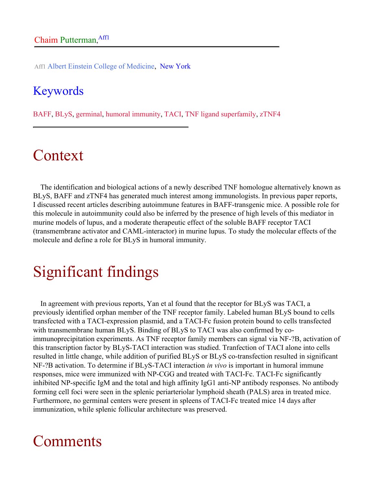Aff1 Albert Einstein College of Medicine, New York

#### Keywords

BAFF, BLyS, germinal, humoral immunity, TACI, TNF ligand superfamily, zTNF4

## Context

The identification and biological actions of a newly described TNF homologue alternatively known as BLyS, BAFF and zTNF4 has generated much interest among immunologists. In previous paper reports, I discussed recent articles describing autoimmune features in BAFF-transgenic mice. A possible role for this molecule in autoimmunity could also be inferred by the presence of high levels of this mediator in murine models of lupus, and a moderate therapeutic effect of the soluble BAFF receptor TACI (transmembrane activator and CAML-interactor) in murine lupus. To study the molecular effects of the molecule and define a role for BLyS in humoral immunity.

# Significant findings

In agreement with previous reports, Yan et al found that the receptor for BLyS was TACI, a previously identified orphan member of the TNF receptor family. Labeled human BLyS bound to cells transfected with a TACI-expression plasmid, and a TACI-Fc fusion protein bound to cells transfected with transmembrane human BLyS. Binding of BLyS to TACI was also confirmed by coimmunoprecipitation experiments. As TNF receptor family members can signal via NF-?B, activation of this transcription factor by BLyS-TACI interaction was studied. Tranfection of TACI alone into cells resulted in little change, while addition of purified BLyS or BLyS co-transfection resulted in significant NF-?B activation. To determine if BLyS-TACI interaction *in vivo* is important in humoral immune responses, mice were immunized with NP-CGG and treated with TACI-Fc. TACI-Fc significantly inhibited NP-specific IgM and the total and high affinity IgG1 anti-NP antibody responses. No antibody forming cell foci were seen in the splenic periarteriolar lymphoid sheath (PALS) area in treated mice. Furthermore, no germinal centers were present in spleens of TACI-Fc treated mice 14 days after immunization, while splenic follicular architecture was preserved.

### Comments